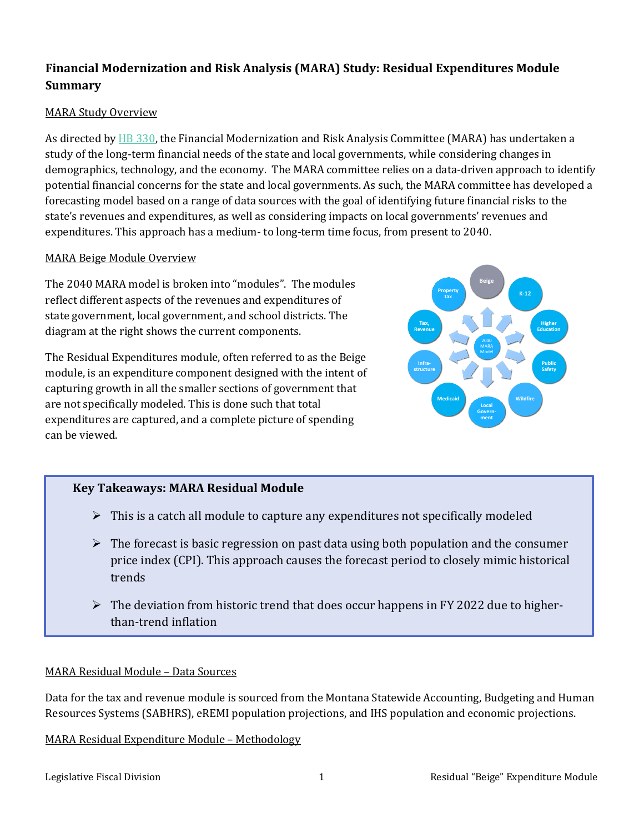# **Financial Modernization and Risk Analysis (MARA) Study: Residual Expenditures Module Summary**

## MARA Study Overview

As directed b[y HB 330,](https://leg.mt.gov/bills/2021/sesslaws/ch0508.pdf) the Financial Modernization and Risk Analysis Committee (MARA) has undertaken a study of the long-term financial needs of the state and local governments, while considering changes in demographics, technology, and the economy. The MARA committee relies on a data-driven approach to identify potential financial concerns for the state and local governments. As such, the MARA committee has developed a forecasting model based on a range of data sources with the goal of identifying future financial risks to the state's revenues and expenditures, as well as considering impacts on local governments' revenues and expenditures. This approach has a medium- to long-term time focus, from present to 2040.

### MARA Beige Module Overview

The 2040 MARA model is broken into "modules". The modules reflect different aspects of the revenues and expenditures of state government, local government, and school districts. The diagram at the right shows the current components.

The Residual Expenditures module, often referred to as the Beige module, is an expenditure component designed with the intent of capturing growth in all the smaller sections of government that are not specifically modeled. This is done such that total expenditures are captured, and a complete picture of spending can be viewed.



# **Key Takeaways: MARA Residual Module**

- $\triangleright$  This is a catch all module to capture any expenditures not specifically modeled
- $\triangleright$  The forecast is basic regression on past data using both population and the consumer price index (CPI). This approach causes the forecast period to closely mimic historical trends
- $\triangleright$  The deviation from historic trend that does occur happens in FY 2022 due to higherthan-trend inflation

### MARA Residual Module – Data Sources

Data for the tax and revenue module is sourced from the Montana Statewide Accounting, Budgeting and Human Resources Systems (SABHRS), eREMI population projections, and IHS population and economic projections.

MARA Residual Expenditure Module – Methodology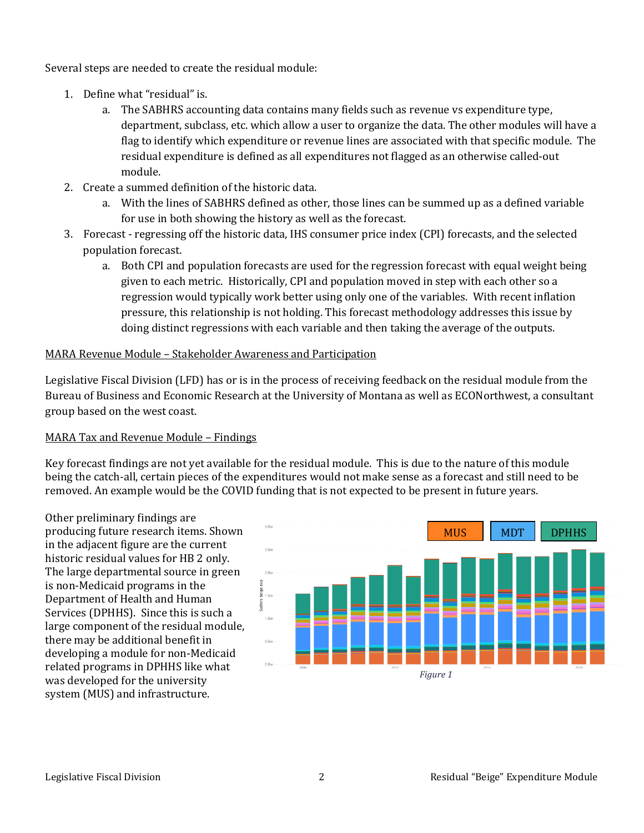Several steps are needed to create the residual module:

- 1. Define what "residual" is.
	- a. The SABHRS accounting data contains many fields such as revenue vs expenditure type, department, subclass, etc. which allow a user to organize the data. The other modules will have a flag to identify which expenditure or revenue lines are associated with that specific module. The residual expenditure is defined as all expenditures not flagged as an otherwise called-out module.
- 2. Create a summed definition of the historic data.
	- a. With the lines of SABHRS defined as other, those lines can be summed up as a defined variable for use in both showing the history as well as the forecast.
- 3. Forecast regressing off the historic data, IHS consumer price index (CPI) forecasts, and the selected population forecast.
	- a. Both CPI and population forecasts are used for the regression forecast with equal weight being given to each metric. Historically, CPI and population moved in step with each other so a regression would typically work better using only one of the variables. With recent inflation pressure, this relationship is not holding. This forecast methodology addresses this issue by doing distinct regressions with each variable and then taking the average of the outputs.

### MARA Revenue Module – Stakeholder Awareness and Participation

Legislative Fiscal Division (LFD) has or is in the process of receiving feedback on the residual module from the Bureau of Business and Economic Research at the University of Montana as well as ECONorthwest, a consultant group based on the west coast.

### MARA Tax and Revenue Module – Findings

Key forecast findings are not yet available for the residual module. This is due to the nature of this module being the catch-all, certain pieces of the expenditures would not make sense as a forecast and still need to be removed. An example would be the COVID funding that is not expected to be present in future years.

Other preliminary findings are producing future research items. Shown in the adjacent figure are the current historic residual values for HB 2 only. The large departmental source in green is non-Medicaid programs in the Department of Health and Human Services (DPHHS). Since this is such a large component of the residual module, there may be additional benefit in developing a module for non-Medicaid related programs in DPHHS like what was developed for the university system (MUS) and infrastructure.